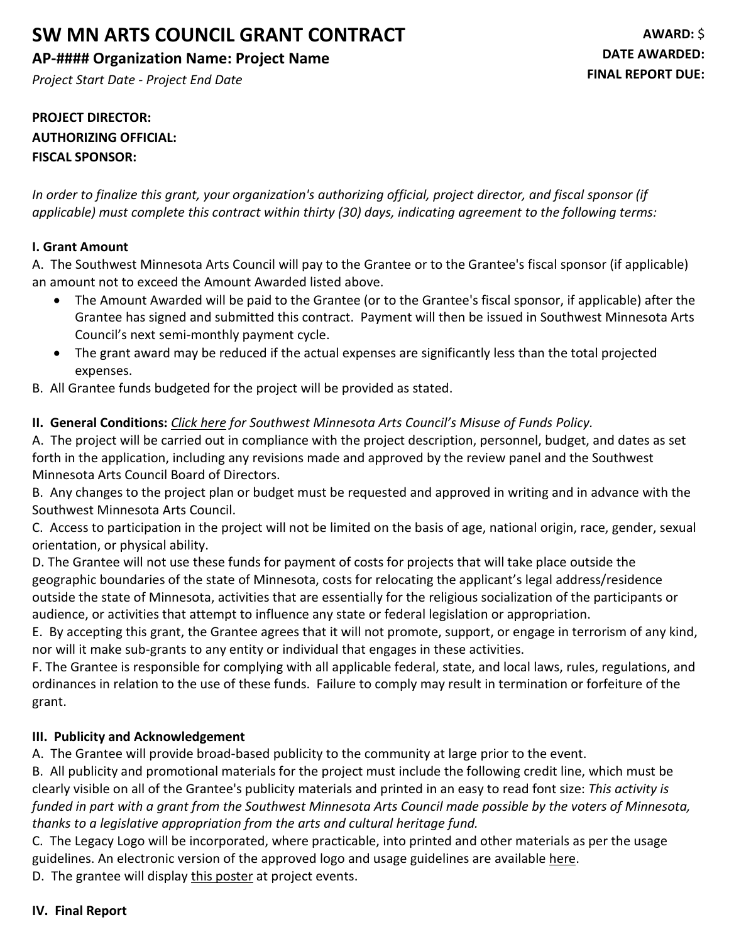# **SW MN ARTS COUNCIL GRANT CONTRACT**

## **AP-#### Organization Name: Project Name**

*Project Start Date - Project End Date*

# **PROJECT DIRECTOR: AUTHORIZING OFFICIAL: FISCAL SPONSOR:**

*In order to finalize this grant, your organization's authorizing official, project director, and fiscal sponsor (if applicable) must complete this contract within thirty (30) days, indicating agreement to the following terms:*

## **I. Grant Amount**

A. The Southwest Minnesota Arts Council will pay to the Grantee or to the Grantee's fiscal sponsor (if applicable) an amount not to exceed the Amount Awarded listed above.

- The Amount Awarded will be paid to the Grantee (or to the Grantee's fiscal sponsor, if applicable) after the Grantee has signed and submitted this contract. Payment will then be issued in Southwest Minnesota Arts Council's next semi-monthly payment cycle.
- The grant award may be reduced if the actual expenses are significantly less than the total projected expenses.
- B. All Grantee funds budgeted for the project will be provided as stated.

## **II. General Conditions:** *Click here for Southwest Minnesota Arts Council's Misuse of Funds Policy.*

A. The project will be carried out in compliance with the project description, personnel, budget, and dates as set forth in the application, including any revisions made and approved by the review panel and the Southwest Minnesota Arts Council Board of Directors.

B. Any changes to the project plan or budget must be requested and approved in writing and in advance with the Southwest Minnesota Arts Council.

C. Access to participation in the project will not be limited on the basis of age, national origin, race, gender, sexual orientation, or physical ability.

D. The Grantee will not use these funds for payment of costs for projects that will take place outside the geographic boundaries of the state of Minnesota, costs for relocating the applicant's legal address/residence outside the state of Minnesota, activities that are essentially for the religious socialization of the participants or audience, or activities that attempt to influence any state or federal legislation or appropriation.

E. By accepting this grant, the Grantee agrees that it will not promote, support, or engage in terrorism of any kind, nor will it make sub-grants to any entity or individual that engages in these activities.

F. The Grantee is responsible for complying with all applicable federal, state, and local laws, rules, regulations, and ordinances in relation to the use of these funds. Failure to comply may result in termination or forfeiture of the grant.

#### **III. Publicity and Acknowledgement**

A. The Grantee will provide broad-based publicity to the community at large prior to the event.

B. All publicity and promotional materials for the project must include the following credit line, which must be clearly visible on all of the Grantee's publicity materials and printed in an easy to read font size: *This activity is*  funded in part with a grant from the Southwest Minnesota Arts Council made possible by the voters of Minnesota, *thanks to a legislative appropriation from the arts and cultural heritage fund.*

C. The Legacy Logo will be incorporated, where practicable, into printed and other materials as per the usage guidelines. An electronic version of the approved logo and usage guidelines are available here.

D. The grantee will display this poster at project events.

#### **IV. Final Report**

**AWARD:** \$ **DATE AWARDED: FINAL REPORT DUE:**